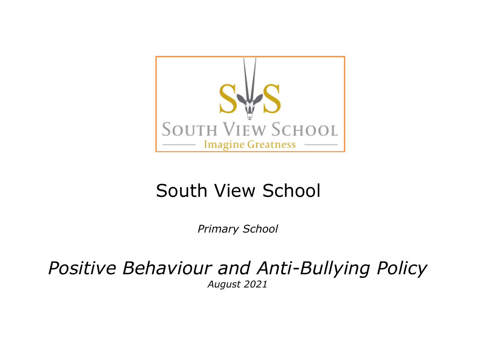

# South View School

*Primary School*

*Positive Behaviour and Anti-Bullying Policy August 2021*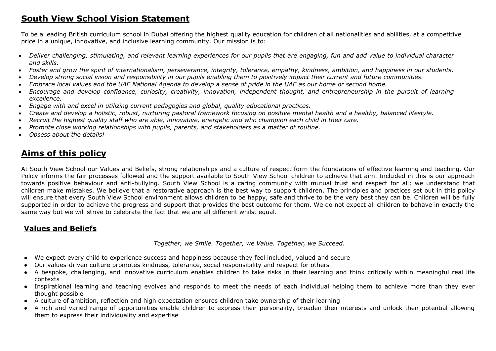# **South View School Vision Statement**

To be a leading British curriculum school in Dubai offering the highest quality education for children of all nationalities and abilities, at a competitive price in a unique, innovative, and inclusive learning community. Our mission is to:

- Deliver challenging, stimulating, and relevant learning experiences for our pupils that are engaging, fun and add value to individual character *and skills.*
- Foster and grow the spirit of internationalism, perseverance, integrity, tolerance, empathy, kindness, ambition, and happiness in our students,
- Develop strong social vision and responsibility in our pupils enabling them to positively impact their current and future communities.
- Embrace local values and the UAE National Agenda to develop a sense of pride in the UAE as our home or second home.
- Encourage and develop confidence, curiosity, creativity, innovation, independent thought, and entrepreneurship in the pursuit of learning *excellence.*
- *Engage with and excel in utilizing current pedagogies and global, quality educational practices.*
- Create and develop a holistic, robust, nurturing pastoral framework focusing on positive mental health and a healthy, balanced lifestyle.
- Recruit the highest quality staff who are able, innovative, energetic and who champion each child in their care.
- *Promote close working relationships with pupils, parents, and stakeholders as a matter of routine.*
- *Obsess about the details!*

# **Aims of this policy**

At South View School our Values and Beliefs, strong relationships and a culture of respect form the foundations of effective learning and teaching. Our Policy informs the fair processes followed and the support available to South View School children to achieve that aim. Included in this is our approach towards positive behaviour and anti-bullying. South View School is a caring community with mutual trust and respect for all; we understand that children make mistakes. We believe that a restorative approach is the best way to support children. The principles and practices set out in this policy will ensure that every South View School environment allows children to be happy, safe and thrive to be the very best they can be. Children will be fully supported in order to achieve the progress and support that provides the best outcome for them. We do not expect all children to behave in exactly the same way but we will strive to celebrate the fact that we are all different whilst equal.

# **Values and Beliefs**

*Together, we Smile. Together, we Value. Together, we Succeed.* 

- We expect every child to experience success and happiness because they feel included, valued and secure
- Our values-driven culture promotes kindness, tolerance, social responsibility and respect for others
- A bespoke, challenging, and innovative curriculum enables children to take risks in their learning and think critically within meaningful real life contexts
- Inspirational learning and teaching evolves and responds to meet the needs of each individual helping them to achieve more than they ever thought possible
- A culture of ambition, reflection and high expectation ensures children take ownership of their learning
- A rich and varied range of opportunities enable children to express their personality, broaden their interests and unlock their potential allowing them to express their individuality and expertise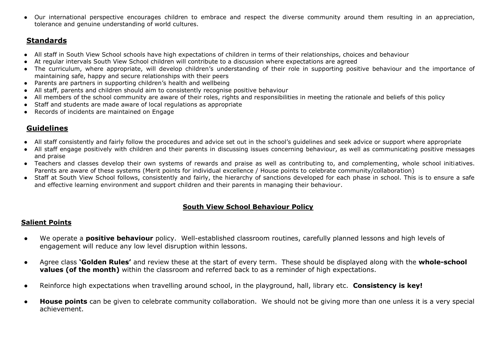● Our international perspective encourages children to embrace and respect the diverse community around them resulting in an appreciation, tolerance and genuine understanding of world cultures.

# **Standards**

- All staff in South View School schools have high expectations of children in terms of their relationships, choices and behaviour
- At regular intervals South View School children will contribute to a discussion where expectations are agreed
- The curriculum, where appropriate, will develop children's understanding of their role in supporting positive behaviour and the importance of maintaining safe, happy and secure relationships with their peers
- Parents are partners in supporting children's health and wellbeing
- All staff, parents and children should aim to consistently recognise positive behaviour
- All members of the school community are aware of their roles, rights and responsibilities in meeting the rationale and beliefs of this policy
- Staff and students are made aware of local regulations as appropriate
- Records of incidents are maintained on Engage

# **Guidelines**

- All staff consistently and fairly follow the procedures and advice set out in the school's guidelines and seek advice or support where appropriate
- All staff engage positively with children and their parents in discussing issues concerning behaviour, as well as communicating positive messages and praise
- Teachers and classes develop their own systems of rewards and praise as well as contributing to, and complementing, whole school initiatives. Parents are aware of these systems (Merit points for individual excellence / House points to celebrate community/collaboration)
- Staff at South View School follows, consistently and fairly, the hierarchy of sanctions developed for each phase in school. This is to ensure a safe and effective learning environment and support children and their parents in managing their behaviour.

#### **South View School Behaviour Policy**

#### **Salient Points**

- We operate a **positive behaviour** policy. Well-established classroom routines, carefully planned lessons and high levels of engagement will reduce any low level disruption within lessons.
- Agree class **'Golden Rules'** and review these at the start of every term. These should be displayed along with the **whole-school values (of the month)** within the classroom and referred back to as a reminder of high expectations.
- Reinforce high expectations when travelling around school, in the playground, hall, library etc. **Consistency is key!**
- **House points** can be given to celebrate community collaboration. We should not be giving more than one unless it is a very special achievement.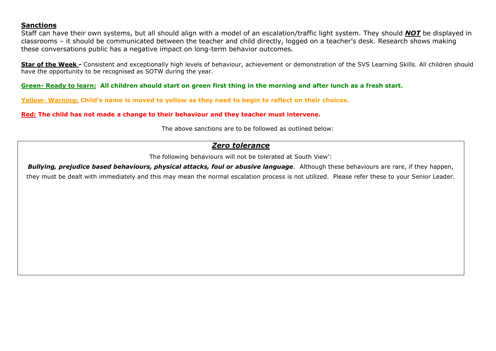#### **Sanctions**

Staff can have their own systems, but all should align with a model of an escalation/traffic light system. They should *NOT* be displayed in classrooms – it should be communicated between the teacher and child directly, logged on a teacher's desk. Research shows making these conversations public has a negative impact on long-term behavior outcomes.

**Star of the Week -** Consistent and exceptionally high levels of behaviour, achievement or demonstration of the SVS Learning Skills. All children should have the opportunity to be recognised as SOTW during the year.

**Green- Ready to learn: All children should start on green first thing in the morning and after lunch as a fresh start.**

**Yellow- Warning: Child's name is moved to yellow as they need to begin to reflect on their choices.**

**Red: The child has not made a change to their behaviour and they teacher must intervene.**

The above sanctions are to be followed as outlined below:

#### *Zero tolerance*

The following behaviours will not be tolerated at South View':

**Bullying, prejudice based behaviours, physical attacks, foul or abusive language**. Although these behaviours are rare, if they happen, they must be dealt with immediately and this may mean the normal escalation process is not utilized. Please refer these to your Senior Leader.